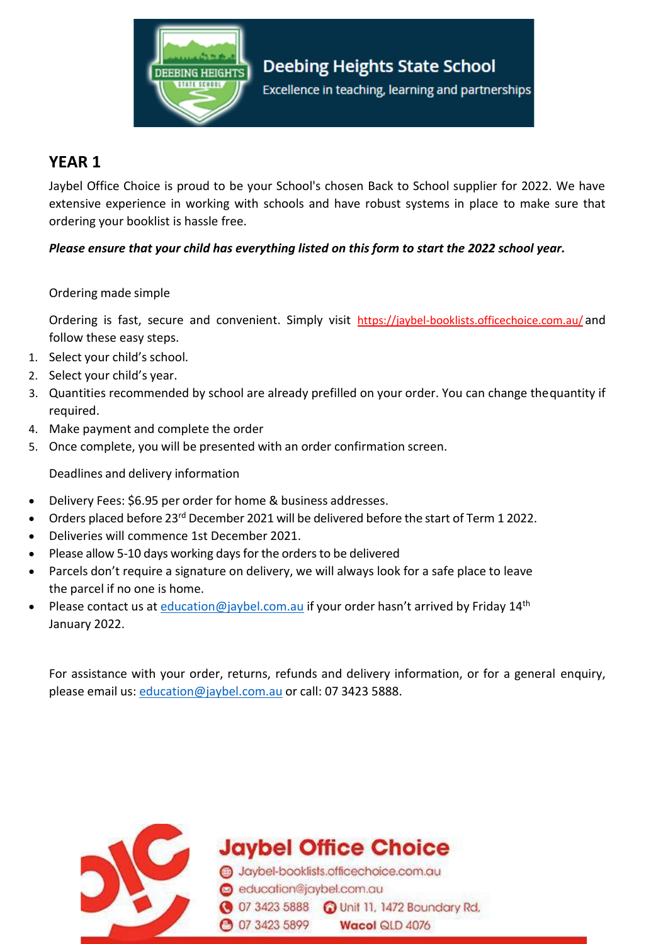

## **YEAR 1**

Jaybel Office Choice is proud to be your School's chosen Back to School supplier for 2022. We have extensive experience in working with schools and have robust systems in place to make sure that ordering your booklist is hassle free.

*Please ensure that your child has everything listed on this form to start the 2022 school year.* 

## Ordering made simple

Ordering is fast, secure and convenient. Simply visit https://jaybel-booklists.officechoice.com.au/ and follow these easy steps.

- 1. Select your child's school.
- 2. Select your child's year.
- 3. Quantities recommended by school are already prefilled on your order. You can change thequantity if required.
- 4. Make payment and complete the order
- 5. Once complete, you will be presented with an order confirmation screen.

Deadlines and delivery information

- Delivery Fees: \$6.95 per order for home & business addresses.
- Orders placed before 23<sup>rd</sup> December 2021 will be delivered before the start of Term 1 2022.
- Deliveries will commence 1st December 2021.
- Please allow 5-10 days working days for the orders to be delivered
- Parcels don't require a signature on delivery, we will always look for a safe place to leave the parcel if no one is home.
- Please contact us at *[education@jaybel.com.au](mailto:education@jaybel.com.au)* if your order hasn't arrived by Friday 14<sup>th</sup> January 2022.

For assistance with your order, returns, refunds and delivery information, or for a general enquiry, please email us: [education@jaybel.com.au](mailto:education@jaybel.com.au) or call: 07 3423 5888.



**Jaybel Office Choice** 

Jaybel-booklists.officechoice.com.au education@jaybel.com.au 3423 5888 C Unit 11, 1472 Boundary Rd, **3423 5899** Wacol QLD 4076